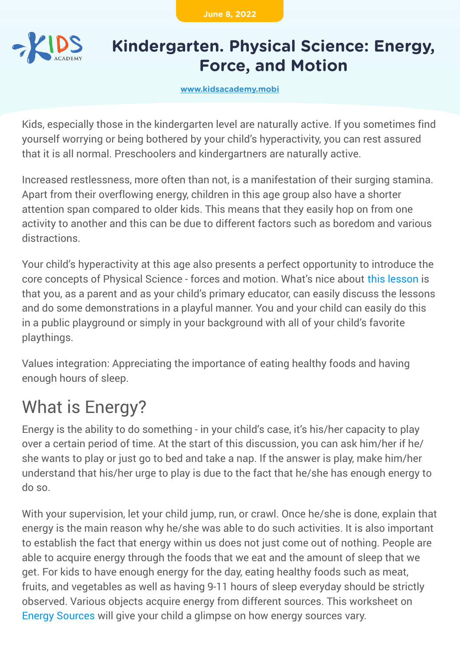**June 8, 2022**



## **Kindergarten. Physical Science: Energy, Force, and Motion**

**[www.kidsacademy.mobi](https://www.kidsacademy.mobi/)**

Kids, especially those in the kindergarten level are naturally active. If you sometimes find yourself worrying or being bothered by your child's hyperactivity, you can rest assured that it is all normal. Preschoolers and kindergartners are naturally active.

Increased restlessness, more often than not, is a manifestation of their surging stamina. Apart from their overflowing energy, children in this age group also have a shorter attention span compared to older kids. This means that they easily hop on from one activity to another and this can be due to different factors such as boredom and various distractions.

Your child's hyperactivity at this age also presents a perfect opportunity to introduce the core concepts of Physical Science - forces and motion. What's nice about [this lesson](https://www.kidsacademy.mobi/lessons/) is that you, as a parent and as your child's primary educator, can easily discuss the lessons and do some demonstrations in a playful manner. You and your child can easily do this in a public playground or simply in your background with all of your child's favorite playthings.

Values integration: Appreciating the importance of eating healthy foods and having enough hours of sleep.

## What is Energy?

Energy is the ability to do something - in your child's case, it's his/her capacity to play over a certain period of time. At the start of this discussion, you can ask him/her if he/ she wants to play or just go to bed and take a nap. If the answer is play, make him/her understand that his/her urge to play is due to the fact that he/she has enough energy to do so.

With your supervision, let your child jump, run, or crawl. Once he/she is done, explain that energy is the main reason why he/she was able to do such activities. It is also important to establish the fact that energy within us does not just come out of nothing. People are able to acquire energy through the foods that we eat and the amount of sleep that we get. For kids to have enough energy for the day, eating healthy foods such as meat, fruits, and vegetables as well as having 9-11 hours of sleep everyday should be strictly observed. Various objects acquire energy from different sources. This worksheet on [Energy Sources](https://www.kidsacademy.mobi/printables/physical-science-energy-sources/) will give your child a glimpse on how energy sources vary.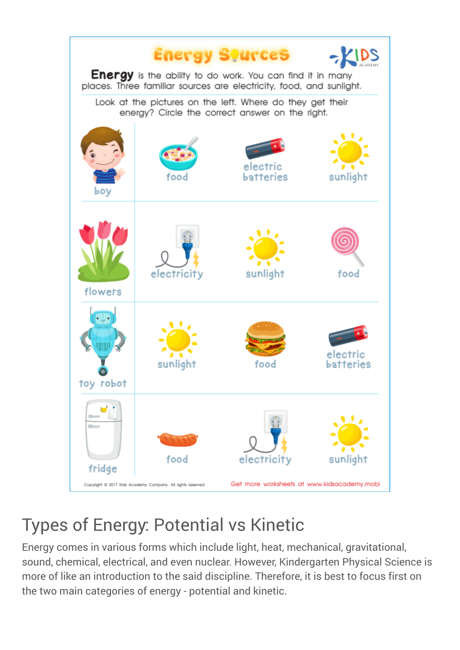

## Types of Energy: Potential vs Kinetic

Energy comes in various forms which include light, heat, mechanical, gravitational, sound, chemical, electrical, and even nuclear. However, Kindergarten Physical Science is more of like an introduction to the said discipline. Therefore, it is best to focus first on the two main categories of energy - potential and kinetic.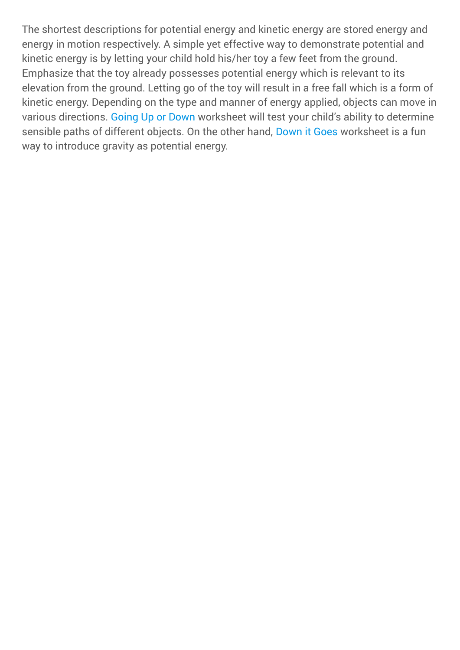The shortest descriptions for potential energy and kinetic energy are stored energy and energy in motion respectively. A simple yet effective way to demonstrate potential and kinetic energy is by letting your child hold his/her toy a few feet from the ground. Emphasize that the toy already possesses potential energy which is relevant to its elevation from the ground. Letting go of the toy will result in a free fall which is a form of kinetic energy. Depending on the type and manner of energy applied, objects can move in various directions. [Going Up or Down](https://www.kidsacademy.mobi/printables/going-up-down/) worksheet will test your child's ability to determine sensible paths of different objects. On the other hand, [Down it Goes](https://www.kidsacademy.mobi/printables/down-it-goes/) worksheet is a fun way to introduce gravity as potential energy.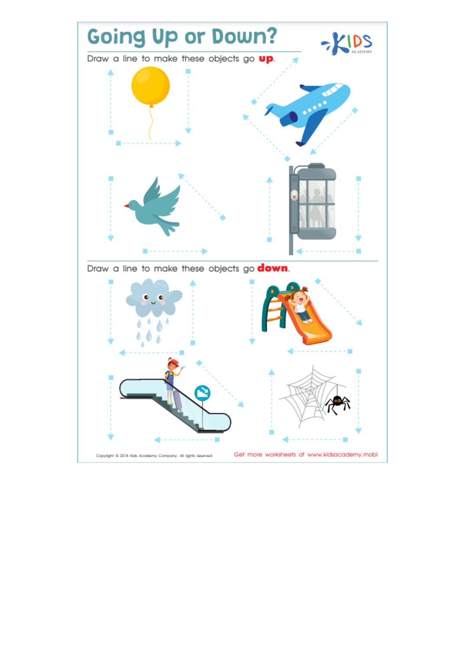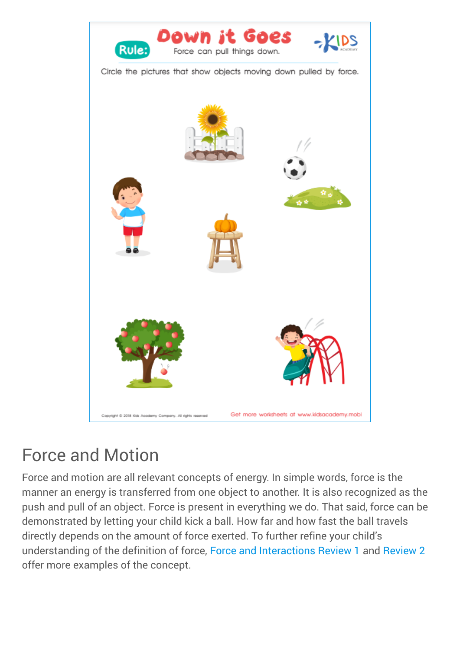

## Force and Motion

Force and motion are all relevant concepts of energy. In simple words, force is the manner an energy is transferred from one object to another. It is also recognized as the push and pull of an object. Force is present in everything we do. That said, force can be demonstrated by letting your child kick a ball. How far and how fast the ball travels directly depends on the amount of force exerted. To further refine your child's understanding of the definition of force, [Force and Interactions Review 1](https://www.kidsacademy.mobi/printables/review1-sc/) and [Review 2](https://www.kidsacademy.mobi/printables/review2-sc/) offer more examples of the concept.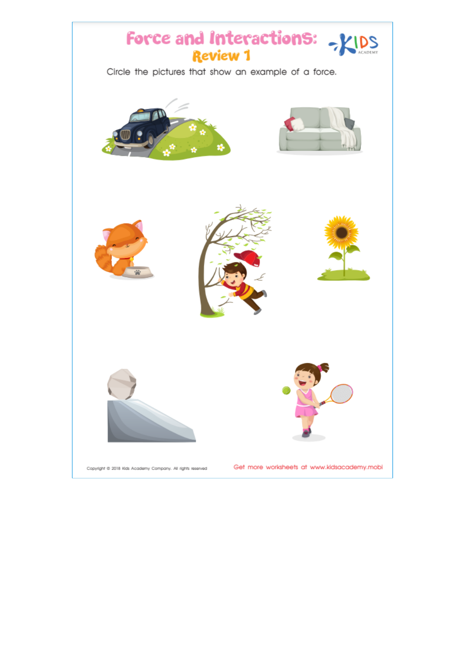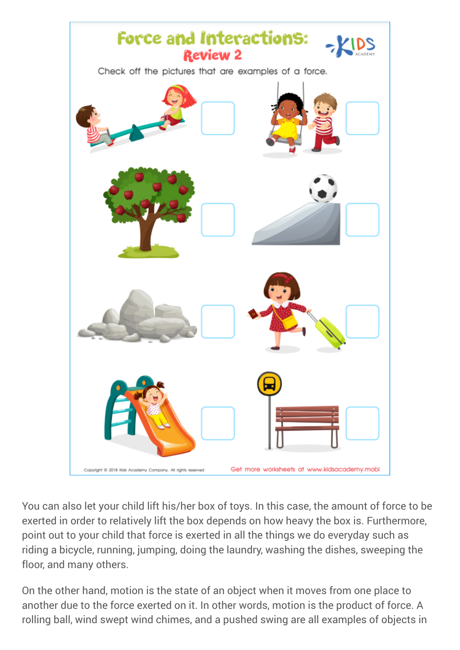

You can also let your child lift his/her box of toys. In this case, the amount of force to be exerted in order to relatively lift the box depends on how heavy the box is. Furthermore, point out to your child that force is exerted in all the things we do everyday such as riding a bicycle, running, jumping, doing the laundry, washing the dishes, sweeping the floor, and many others.

On the other hand, motion is the state of an object when it moves from one place to another due to the force exerted on it. In other words, motion is the product of force. A rolling ball, wind swept wind chimes, and a pushed swing are all examples of objects in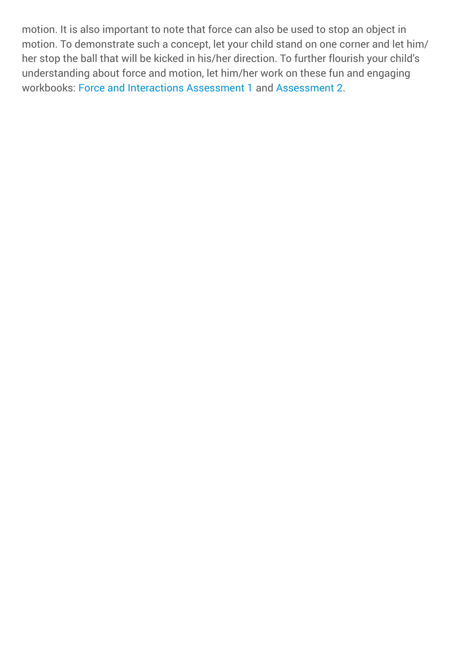motion. It is also important to note that force can also be used to stop an object in motion. To demonstrate such a concept, let your child stand on one corner and let him/ her stop the ball that will be kicked in his/her direction. To further flourish your child's understanding about force and motion, let him/her work on these fun and engaging workbooks: [Force and Interactions Assessment 1](https://www.kidsacademy.mobi/printables/assessment1-sc/) and [Assessment 2.](https://www.kidsacademy.mobi/printables/assessment2-sc/)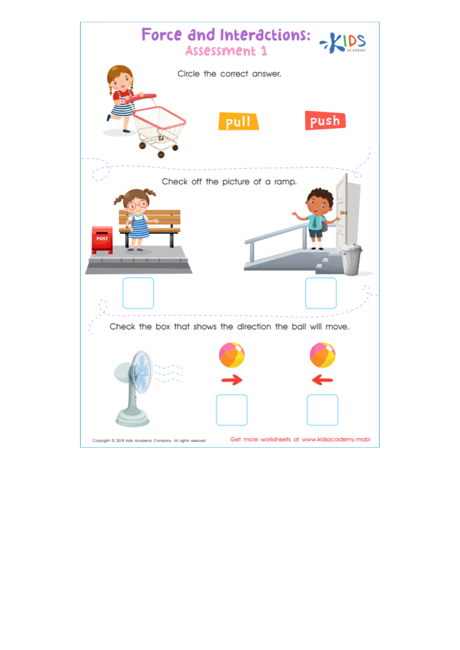